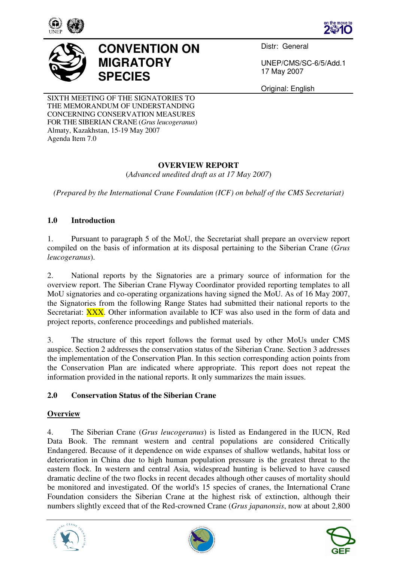





# **CONVENTION ON MIGRATORY SPECIES**

Distr: General

UNEP/CMS/SC-6/5/Add.1 17 May 2007

Original: English

SIXTH MEETING OF THE SIGNATORIES TO THE MEMORANDUM OF UNDERSTANDING CONCERNING CONSERVATION MEASURES FOR THE SIBERIAN CRANE (*Grus leucogeranus*) Almaty, Kazakhstan, 15-19 May 2007 Agenda Item 7.0

# **OVERVIEW REPORT**

(*Advanced unedited draft as at 17 May 2007*)

*(Prepared by the International Crane Foundation (ICF) on behalf of the CMS Secretariat)* 

## **1.0 Introduction**

1. Pursuant to paragraph 5 of the MoU, the Secretariat shall prepare an overview report compiled on the basis of information at its disposal pertaining to the Siberian Crane (*Grus leucogeranus*).

2. National reports by the Signatories are a primary source of information for the overview report. The Siberian Crane Flyway Coordinator provided reporting templates to all MoU signatories and co-operating organizations having signed the MoU. As of 16 May 2007, the Signatories from the following Range States had submitted their national reports to the Secretariat: **XXX**. Other information available to ICF was also used in the form of data and project reports, conference proceedings and published materials.

3. The structure of this report follows the format used by other MoUs under CMS auspice. Section 2 addresses the conservation status of the Siberian Crane. Section 3 addresses the implementation of the Conservation Plan. In this section corresponding action points from the Conservation Plan are indicated where appropriate. This report does not repeat the information provided in the national reports. It only summarizes the main issues.

# **2.0 Conservation Status of the Siberian Crane**

## **Overview**

4. The Siberian Crane (*Grus leucogeranus*) is listed as Endangered in the IUCN, Red Data Book. The remnant western and central populations are considered Critically Endangered. Because of it dependence on wide expanses of shallow wetlands, habitat loss or deterioration in China due to high human population pressure is the greatest threat to the eastern flock. In western and central Asia, widespread hunting is believed to have caused dramatic decline of the two flocks in recent decades although other causes of mortality should be monitored and investigated. Of the world's 15 species of cranes, the International Crane Foundation considers the Siberian Crane at the highest risk of extinction, although their numbers slightly exceed that of the Red-crowned Crane (*Grus japanonsis*, now at about 2,800





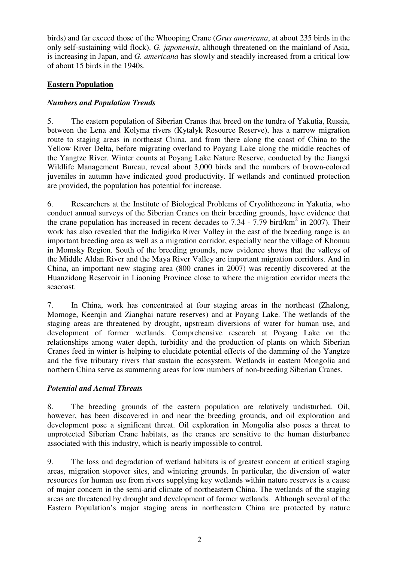birds) and far exceed those of the Whooping Crane (*Grus americana*, at about 235 birds in the only self-sustaining wild flock). *G. japonensis*, although threatened on the mainland of Asia, is increasing in Japan, and *G. americana* has slowly and steadily increased from a critical low of about 15 birds in the 1940s.

## **Eastern Population**

## *Numbers and Population Trends*

5. The eastern population of Siberian Cranes that breed on the tundra of Yakutia, Russia, between the Lena and Kolyma rivers (Kytalyk Resource Reserve), has a narrow migration route to staging areas in northeast China, and from there along the coast of China to the Yellow River Delta, before migrating overland to Poyang Lake along the middle reaches of the Yangtze River. Winter counts at Poyang Lake Nature Reserve, conducted by the Jiangxi Wildlife Management Bureau, reveal about 3,000 birds and the numbers of brown-colored juveniles in autumn have indicated good productivity. If wetlands and continued protection are provided, the population has potential for increase.

6. Researchers at the Institute of Biological Problems of Cryolithozone in Yakutia, who conduct annual surveys of the Siberian Cranes on their breeding grounds, have evidence that the crane population has increased in recent decades to  $7.34 - 7.79$  bird/km<sup>2</sup> in 2007). Their work has also revealed that the Indigirka River Valley in the east of the breeding range is an important breeding area as well as a migration corridor, especially near the village of Khonuu in Momsky Region. South of the breeding grounds, new evidence shows that the valleys of the Middle Aldan River and the Maya River Valley are important migration corridors. And in China, an important new staging area (800 cranes in 2007) was recently discovered at the Huanzidong Reservoir in Liaoning Province close to where the migration corridor meets the seacoast.

7. In China, work has concentrated at four staging areas in the northeast (Zhalong, Momoge, Keerqin and Zianghai nature reserves) and at Poyang Lake. The wetlands of the staging areas are threatened by drought, upstream diversions of water for human use, and development of former wetlands. Comprehensive research at Poyang Lake on the relationships among water depth, turbidity and the production of plants on which Siberian Cranes feed in winter is helping to elucidate potential effects of the damming of the Yangtze and the five tributary rivers that sustain the ecosystem. Wetlands in eastern Mongolia and northern China serve as summering areas for low numbers of non-breeding Siberian Cranes.

## *Potential and Actual Threats*

8. The breeding grounds of the eastern population are relatively undisturbed. Oil, however, has been discovered in and near the breeding grounds, and oil exploration and development pose a significant threat. Oil exploration in Mongolia also poses a threat to unprotected Siberian Crane habitats, as the cranes are sensitive to the human disturbance associated with this industry, which is nearly impossible to control.

9. The loss and degradation of wetland habitats is of greatest concern at critical staging areas, migration stopover sites, and wintering grounds. In particular, the diversion of water resources for human use from rivers supplying key wetlands within nature reserves is a cause of major concern in the semi-arid climate of northeastern China. The wetlands of the staging areas are threatened by drought and development of former wetlands. Although several of the Eastern Population's major staging areas in northeastern China are protected by nature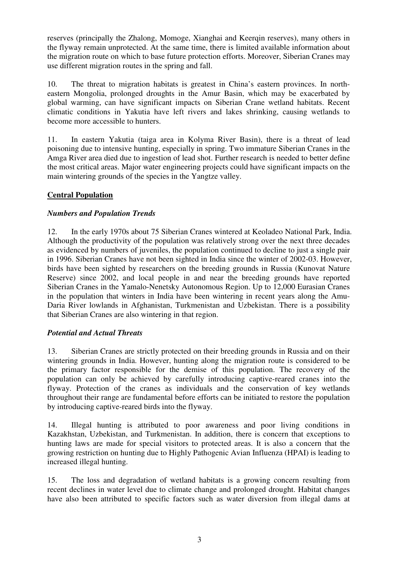reserves (principally the Zhalong, Momoge, Xianghai and Keerqin reserves), many others in the flyway remain unprotected. At the same time, there is limited available information about the migration route on which to base future protection efforts. Moreover, Siberian Cranes may use different migration routes in the spring and fall.

10. The threat to migration habitats is greatest in China's eastern provinces. In northeastern Mongolia, prolonged droughts in the Amur Basin, which may be exacerbated by global warming, can have significant impacts on Siberian Crane wetland habitats. Recent climatic conditions in Yakutia have left rivers and lakes shrinking, causing wetlands to become more accessible to hunters.

11. In eastern Yakutia (taiga area in Kolyma River Basin), there is a threat of lead poisoning due to intensive hunting, especially in spring. Two immature Siberian Cranes in the Amga River area died due to ingestion of lead shot. Further research is needed to better define the most critical areas. Major water engineering projects could have significant impacts on the main wintering grounds of the species in the Yangtze valley.

# **Central Population**

## *Numbers and Population Trends*

12. In the early 1970s about 75 Siberian Cranes wintered at Keoladeo National Park, India. Although the productivity of the population was relatively strong over the next three decades as evidenced by numbers of juveniles, the population continued to decline to just a single pair in 1996. Siberian Cranes have not been sighted in India since the winter of 2002-03. However, birds have been sighted by researchers on the breeding grounds in Russia (Kunovat Nature Reserve) since 2002, and local people in and near the breeding grounds have reported Siberian Cranes in the Yamalo-Nenetsky Autonomous Region. Up to 12,000 Eurasian Cranes in the population that winters in India have been wintering in recent years along the Amu-Daria River lowlands in Afghanistan, Turkmenistan and Uzbekistan. There is a possibility that Siberian Cranes are also wintering in that region.

## *Potential and Actual Threats*

13. Siberian Cranes are strictly protected on their breeding grounds in Russia and on their wintering grounds in India. However, hunting along the migration route is considered to be the primary factor responsible for the demise of this population. The recovery of the population can only be achieved by carefully introducing captive-reared cranes into the flyway. Protection of the cranes as individuals and the conservation of key wetlands throughout their range are fundamental before efforts can be initiated to restore the population by introducing captive-reared birds into the flyway.

14. Illegal hunting is attributed to poor awareness and poor living conditions in Kazakhstan, Uzbekistan, and Turkmenistan. In addition, there is concern that exceptions to hunting laws are made for special visitors to protected areas. It is also a concern that the growing restriction on hunting due to Highly Pathogenic Avian Influenza (HPAI) is leading to increased illegal hunting.

15. The loss and degradation of wetland habitats is a growing concern resulting from recent declines in water level due to climate change and prolonged drought. Habitat changes have also been attributed to specific factors such as water diversion from illegal dams at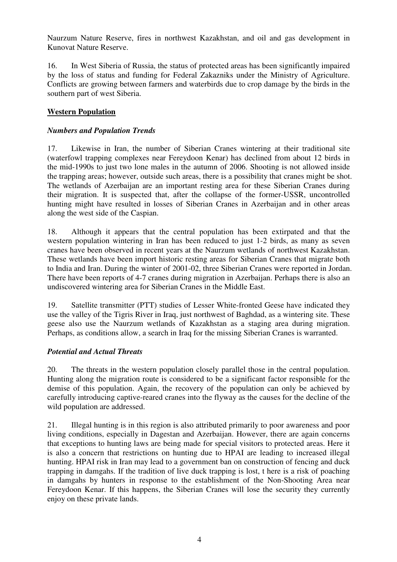Naurzum Nature Reserve, fires in northwest Kazakhstan, and oil and gas development in Kunovat Nature Reserve.

16. In West Siberia of Russia, the status of protected areas has been significantly impaired by the loss of status and funding for Federal Zakazniks under the Ministry of Agriculture. Conflicts are growing between farmers and waterbirds due to crop damage by the birds in the southern part of west Siberia.

## **Western Population**

## *Numbers and Population Trends*

17. Likewise in Iran, the number of Siberian Cranes wintering at their traditional site (waterfowl trapping complexes near Fereydoon Kenar) has declined from about 12 birds in the mid-1990s to just two lone males in the autumn of 2006. Shooting is not allowed inside the trapping areas; however, outside such areas, there is a possibility that cranes might be shot. The wetlands of Azerbaijan are an important resting area for these Siberian Cranes during their migration. It is suspected that, after the collapse of the former-USSR, uncontrolled hunting might have resulted in losses of Siberian Cranes in Azerbaijan and in other areas along the west side of the Caspian.

18. Although it appears that the central population has been extirpated and that the western population wintering in Iran has been reduced to just 1-2 birds, as many as seven cranes have been observed in recent years at the Naurzum wetlands of northwest Kazakhstan. These wetlands have been import historic resting areas for Siberian Cranes that migrate both to India and Iran. During the winter of 2001-02, three Siberian Cranes were reported in Jordan. There have been reports of 4-7 cranes during migration in Azerbaijan. Perhaps there is also an undiscovered wintering area for Siberian Cranes in the Middle East.

19. Satellite transmitter (PTT) studies of Lesser White-fronted Geese have indicated they use the valley of the Tigris River in Iraq, just northwest of Baghdad, as a wintering site. These geese also use the Naurzum wetlands of Kazakhstan as a staging area during migration. Perhaps, as conditions allow, a search in Iraq for the missing Siberian Cranes is warranted.

## *Potential and Actual Threats*

20. The threats in the western population closely parallel those in the central population. Hunting along the migration route is considered to be a significant factor responsible for the demise of this population. Again, the recovery of the population can only be achieved by carefully introducing captive-reared cranes into the flyway as the causes for the decline of the wild population are addressed.

21. Illegal hunting is in this region is also attributed primarily to poor awareness and poor living conditions, especially in Dagestan and Azerbaijan. However, there are again concerns that exceptions to hunting laws are being made for special visitors to protected areas. Here it is also a concern that restrictions on hunting due to HPAI are leading to increased illegal hunting. HPAI risk in Iran may lead to a government ban on construction of fencing and duck trapping in damgahs. If the tradition of live duck trapping is lost, t here is a risk of poaching in damgahs by hunters in response to the establishment of the Non-Shooting Area near Fereydoon Kenar. If this happens, the Siberian Cranes will lose the security they currently enjoy on these private lands.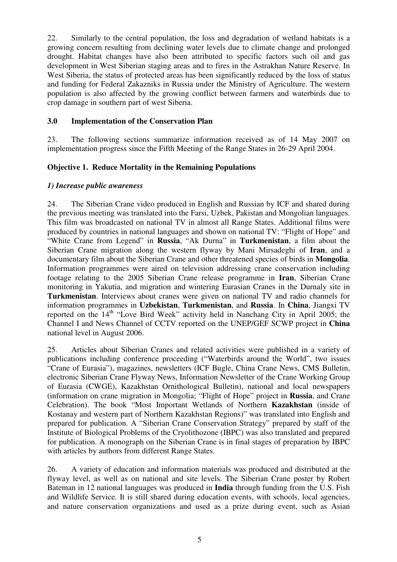22. Similarly to the central population, the loss and degradation of wetland habitats is a growing concern resulting from declining water levels due to climate change and prolonged drought. Habitat changes have also been attributed to specific factors such oil and gas development in West Siberian staging areas and to fires in the Astrakhan Nature Reserve. In West Siberia, the status of protected areas has been significantly reduced by the loss of status and funding for Federal Zakazniks in Russia under the Ministry of Agriculture. The western population is also affected by the growing conflict between farmers and waterbirds due to crop damage in southern part of west Siberia.

#### **3.0 Implementation of the Conservation Plan**

23. The following sections summarize information received as of 14 May 2007 on implementation progress since the Fifth Meeting of the Range States in 26-29 April 2004.

## **Objective 1. Reduce Mortality in the Remaining Populations**

#### *1) Increase public awareness*

24. The Siberian Crane video produced in English and Russian by ICF and shared during the previous meeting was translated into the Farsi, Uzbek, Pakistan and Mongolian languages. This film was broadcasted on national TV in almost all Range States. Additional films were produced by countries in national languages and shown on national TV: "Flight of Hope" and "White Crane from Legend" in **Russia**, "Ak Durna" in **Turkmenistan**, a film about the Siberian Crane migration along the western flyway by Mani Mirsadeghi of **Iran**, and a documentary film about the Siberian Crane and other threatened species of birds in **Mongolia**. Information programmes were aired on television addressing crane conservation including footage relating to the 2005 Siberian Crane release programme in **Iran**, Siberian Crane monitoring in Yakutia, and migration and wintering Eurasian Cranes in the Durnaly site in **Turkmenistan**. Interviews about cranes were given on national TV and radio channels for information programmes in **Uzbekistan**, **Turkmenistan**, and **Russia**. In **China**, Jiangxi TV reported on the 14<sup>th</sup> "Love Bird Week" activity held in Nanchang City in April 2005; the Channel I and News Channel of CCTV reported on the UNEP/GEF SCWP project in **China** national level in August 2006.

25. Articles about Siberian Cranes and related activities were published in a variety of publications including conference proceeding ("Waterbirds around the World", two issues "Crane of Eurasia"), magazines, newsletters (ICF Bugle, China Crane News, CMS Bulletin, electronic Siberian Crane Flyway News, Information Newsletter of the Crane Working Group of Eurasia (CWGE), Kazakhstan Ornithological Bulletin), national and local newspapers (information on crane migration in Mongolia; "Flight of Hope" project in **Russia**, and Crane Celebration). The book "Most Important Wetlands of Northern **Kazakhstan** (inside of Kostanay and western part of Northern Kazakhstan Regions)" was translated into English and prepared for publication. A "Siberian Crane Conservation Strategy" prepared by staff of the Institute of Biological Problems of the Cryolithozone (IBPC) was also translated and prepared for publication. A monograph on the Siberian Crane is in final stages of preparation by IBPC with articles by authors from different Range States.

26. A variety of education and information materials was produced and distributed at the flyway level, as well as on national and site levels. The Siberian Crane poster by Robert Bateman in 12 national languages was produced in **India** through funding from the U.S. Fish and Wildlife Service. It is still shared during education events, with schools, local agencies, and nature conservation organizations and used as a prize during event, such as Asian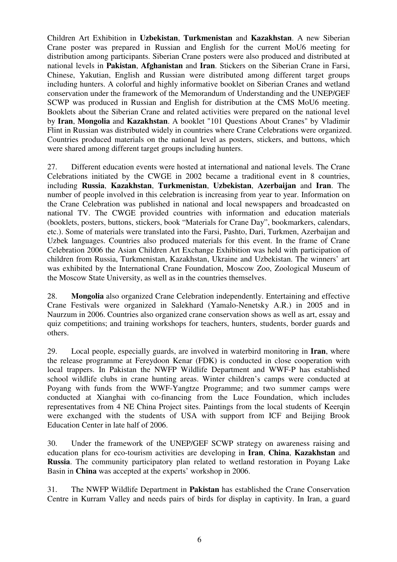Children Art Exhibition in **Uzbekistan**, **Turkmenistan** and **Kazakhstan**. A new Siberian Crane poster was prepared in Russian and English for the current MoU6 meeting for distribution among participants. Siberian Crane posters were also produced and distributed at national levels in **Pakistan**, **Afghanistan** and **Iran**. Stickers on the Siberian Crane in Farsi, Chinese, Yakutian, English and Russian were distributed among different target groups including hunters. A colorful and highly informative booklet on Siberian Cranes and wetland conservation under the framework of the Memorandum of Understanding and the UNEP/GEF SCWP was produced in Russian and English for distribution at the CMS MoU6 meeting. Booklets about the Siberian Crane and related activities were prepared on the national level by **Iran**, **Mongolia** and **Kazakhstan**. A booklet "101 Questions About Cranes" by Vladimir Flint in Russian was distributed widely in countries where Crane Celebrations were organized. Countries produced materials on the national level as posters, stickers, and buttons, which were shared among different target groups including hunters.

27. Different education events were hosted at international and national levels. The Crane Celebrations initiated by the CWGE in 2002 became a traditional event in 8 countries, including **Russia**, **Kazakhstan**, **Turkmenistan**, **Uzbekistan**, **Azerbaijan** and **Iran**. The number of people involved in this celebration is increasing from year to year. Information on the Crane Celebration was published in national and local newspapers and broadcasted on national TV. The CWGE provided countries with information and education materials (booklets, posters, buttons, stickers, book "Materials for Crane Day", bookmarkers, calendars, etc.). Some of materials were translated into the Farsi, Pashto, Dari, Turkmen, Azerbaijan and Uzbek languages. Countries also produced materials for this event. In the frame of Crane Celebration 2006 the Asian Children Art Exchange Exhibition was held with participation of children from Russia, Turkmenistan, Kazakhstan, Ukraine and Uzbekistan. The winners' art was exhibited by the International Crane Foundation, Moscow Zoo, Zoological Museum of the Moscow State University, as well as in the countries themselves.

28. **Mongolia** also organized Crane Celebration independently. Entertaining and effective Crane Festivals were organized in Salekhard (Yamalo-Nenetsky A.R.) in 2005 and in Naurzum in 2006. Countries also organized crane conservation shows as well as art, essay and quiz competitions; and training workshops for teachers, hunters, students, border guards and others.

29. Local people, especially guards, are involved in waterbird monitoring in **Iran**, where the release programme at Fereydoon Kenar (FDK) is conducted in close cooperation with local trappers. In Pakistan the NWFP Wildlife Department and WWF-P has established school wildlife clubs in crane hunting areas. Winter children's camps were conducted at Poyang with funds from the WWF-Yangtze Programme; and two summer camps were conducted at Xianghai with co-financing from the Luce Foundation, which includes representatives from 4 NE China Project sites. Paintings from the local students of Keerqin were exchanged with the students of USA with support from ICF and Beijing Brook Education Center in late half of 2006.

30. Under the framework of the UNEP/GEF SCWP strategy on awareness raising and education plans for eco-tourism activities are developing in **Iran**, **China**, **Kazakhstan** and **Russia**. The community participatory plan related to wetland restoration in Poyang Lake Basin in **China** was accepted at the experts' workshop in 2006.

31. The NWFP Wildlife Department in **Pakistan** has established the Crane Conservation Centre in Kurram Valley and needs pairs of birds for display in captivity. In Iran, a guard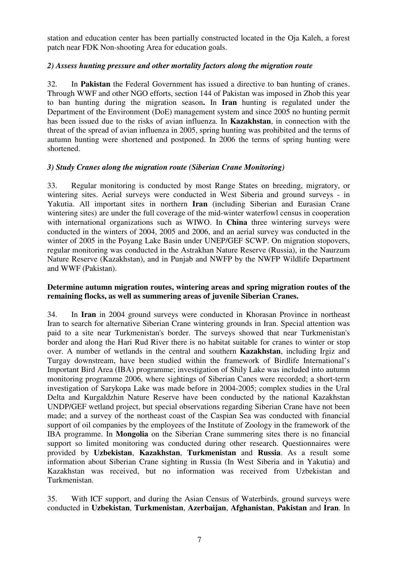station and education center has been partially constructed located in the Oja Kaleh, a forest patch near FDK Non-shooting Area for education goals.

## *2) Assess hunting pressure and other mortality factors along the migration route*

32. In **Pakistan** the Federal Government has issued a directive to ban hunting of cranes. Through WWF and other NGO efforts, section 144 of Pakistan was imposed in Zhob this year to ban hunting during the migration season**.** In **Iran** hunting is regulated under the Department of the Environment (DoE) management system and since 2005 no hunting permit has been issued due to the risks of avian influenza. In **Kazakhstan**, in connection with the threat of the spread of avian influenza in 2005, spring hunting was prohibited and the terms of autumn hunting were shortened and postponed. In 2006 the terms of spring hunting were shortened.

## *3) Study Cranes along the migration route (Siberian Crane Monitoring)*

33. Regular monitoring is conducted by most Range States on breeding, migratory, or wintering sites. Aerial surveys were conducted in West Siberia and ground surveys - in Yakutia. All important sites in northern **Iran** (including Siberian and Eurasian Crane wintering sites) are under the full coverage of the mid-winter waterfowl census in cooperation with international organizations such as WIWO. In **China** three wintering surveys were conducted in the winters of 2004, 2005 and 2006, and an aerial survey was conducted in the winter of 2005 in the Poyang Lake Basin under UNEP/GEF SCWP. On migration stopovers, regular monitoring was conducted in the Astrakhan Nature Reserve (Russia), in the Naurzum Nature Reserve (Kazakhstan), and in Punjab and NWFP by the NWFP Wildlife Department and WWF (Pakistan).

#### **Determine autumn migration routes, wintering areas and spring migration routes of the remaining flocks, as well as summering areas of juvenile Siberian Cranes.**

34. In **Iran** in 2004 ground surveys were conducted in Khorasan Province in northeast Iran to search for alternative Siberian Crane wintering grounds in Iran. Special attention was paid to a site near Turkmenistan's border. The surveys showed that near Turkmenistan's border and along the Hari Rud River there is no habitat suitable for cranes to winter or stop over. A number of wetlands in the central and southern **Kazakhstan**, including Irgiz and Turgay downstream, have been studied within the framework of Birdlife International's Important Bird Area (IBA) programme; investigation of Shily Lake was included into autumn monitoring programme 2006, where sightings of Siberian Canes were recorded; a short-term investigation of Sarykopa Lake was made before in 2004-2005; complex studies in the Ural Delta and Kurgaldzhin Nature Reserve have been conducted by the national Kazakhstan UNDP/GEF wetland project, but special observations regarding Siberian Crane have not been made; and a survey of the northeast coast of the Caspian Sea was conducted with financial support of oil companies by the employees of the Institute of Zoology in the framework of the IВА programme. In **Mongolia** on the Siberian Crane summering sites there is no financial support so limited monitoring was conducted during other research. Questionnaires were provided by **Uzbekistan**, **Kazakhstan**, **Turkmenistan** and **Russia**. As a result some information about Siberian Crane sighting in Russia (In West Siberia and in Yakutia) and Kazakhstan was received, but no information was received from Uzbekistan and Turkmenistan.

35. With ICF support, and during the Asian Census of Waterbirds, ground surveys were conducted in **Uzbekistan**, **Turkmenistan**, **Azerbaijan**, **Afghanistan**, **Pakistan** and **Iran**. In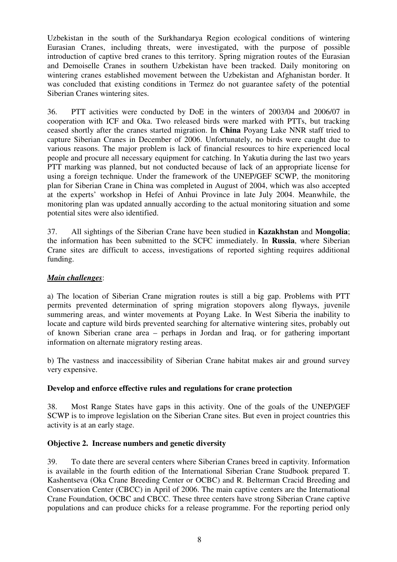Uzbekistan in the south of the Surkhandarya Region ecological conditions of wintering Eurasian Cranes, including threats, were investigated, with the purpose of possible introduction of captive bred cranes to this territory. Spring migration routes of the Eurasian and Demoiselle Cranes in southern Uzbekistan have been tracked. Daily monitoring on wintering cranes established movement between the Uzbekistan and Afghanistan border. It was concluded that existing conditions in Termez do not guarantee safety of the potential Siberian Cranes wintering sites.

36. PTT activities were conducted by DoE in the winters of 2003/04 and 2006/07 in cooperation with ICF and Oka. Two released birds were marked with PTTs, but tracking ceased shortly after the cranes started migration. In **China** Poyang Lake NNR staff tried to capture Siberian Cranes in December of 2006. Unfortunately, no birds were caught due to various reasons. The major problem is lack of financial resources to hire experienced local people and procure all necessary equipment for catching. In Yakutia during the last two years PTT marking was planned, but not conducted because of lack of an appropriate license for using a foreign technique. Under the framework of the UNEP/GEF SCWP, the monitoring plan for Siberian Crane in China was completed in August of 2004, which was also accepted at the experts' workshop in Hefei of Anhui Province in late July 2004. Meanwhile, the monitoring plan was updated annually according to the actual monitoring situation and some potential sites were also identified.

37. All sightings of the Siberian Crane have been studied in **Kazakhstan** and **Mongolia**; the information has been submitted to the SCFC immediately. In **Russia**, where Siberian Crane sites are difficult to access, investigations of reported sighting requires additional funding.

## *Main challenges*:

a) The location of Siberian Crane migration routes is still a big gap. Problems with PTT permits prevented determination of spring migration stopovers along flyways, juvenile summering areas, and winter movements at Poyang Lake. In West Siberia the inability to locate and capture wild birds prevented searching for alternative wintering sites, probably out of known Siberian crane area – perhaps in Jordan and Iraq, or for gathering important information on alternate migratory resting areas.

b) The vastness and inaccessibility of Siberian Crane habitat makes air and ground survey very expensive.

## **Develop and enforce effective rules and regulations for crane protection**

38. Most Range States have gaps in this activity. One of the goals of the UNEP/GEF SCWP is to improve legislation on the Siberian Crane sites. But even in project countries this activity is at an early stage.

## **Objective 2. Increase numbers and genetic diversity**

39. To date there are several centers where Siberian Cranes breed in captivity. Information is available in the fourth edition of the International Siberian Crane Studbook prepared T. Kashentseva (Oka Crane Breeding Center or OCBC) and R. Belterman Cracid Breeding and Conservation Center (CBCC) in April of 2006. The main captive centers are the International Crane Foundation, OCBC and CBCC. These three centers have strong Siberian Crane captive populations and can produce chicks for a release programme. For the reporting period only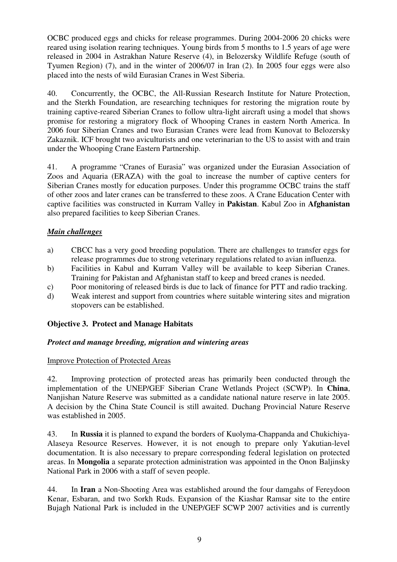OCBC produced eggs and chicks for release programmes. During 2004-2006 20 chicks were reared using isolation rearing techniques. Young birds from 5 months to 1.5 years of age were released in 2004 in Astrakhan Nature Reserve (4), in Belozersky Wildlife Refuge (south of Tyumen Region) (7), and in the winter of 2006/07 in Iran (2). In 2005 four eggs were also placed into the nests of wild Eurasian Cranes in West Siberia.

40. Concurrently, the OCBC, the All-Russian Research Institute for Nature Protection, and the Sterkh Foundation, are researching techniques for restoring the migration route by training captive-reared Siberian Cranes to follow ultra-light aircraft using a model that shows promise for restoring a migratory flock of Whooping Cranes in eastern North America. In 2006 four Siberian Cranes and two Eurasian Cranes were lead from Kunovat to Belozersky Zakaznik. ICF brought two aviculturists and one veterinarian to the US to assist with and train under the Whooping Crane Eastern Partnership.

41. A programme "Cranes of Eurasia" was organized under the Eurasian Association of Zoos and Aquaria (ERAZA) with the goal to increase the number of captive centers for Siberian Cranes mostly for education purposes. Under this programme OCBC trains the staff of other zoos and later cranes can be transferred to these zoos. A Crane Education Center with captive facilities was constructed in Kurram Valley in **Pakistan**. Kabul Zoo in **Afghanistan** also prepared facilities to keep Siberian Cranes.

## *Main challenges*

- a) CBCC has a very good breeding population. There are challenges to transfer eggs for release programmes due to strong veterinary regulations related to avian influenza.
- b) Facilities in Kabul and Kurram Valley will be available to keep Siberian Cranes. Training for Pakistan and Afghanistan staff to keep and breed cranes is needed.
- c) Poor monitoring of released birds is due to lack of finance for PTT and radio tracking.
- d) Weak interest and support from countries where suitable wintering sites and migration stopovers can be established.

## **Objective 3. Protect and Manage Habitats**

## *Protect and manage breeding, migration and wintering areas*

## Improve Protection of Protected Areas

42. Improving protection of protected areas has primarily been conducted through the implementation of the UNEP/GEF Siberian Crane Wetlands Project (SCWP). In **China**, Nanjishan Nature Reserve was submitted as a candidate national nature reserve in late 2005. A decision by the China State Council is still awaited. Duchang Provincial Nature Reserve was established in 2005.

43. In **Russia** it is planned to expand the borders of Kuolyma-Chappanda and Chukichiya-Alaseya Resource Reserves. However, it is not enough to prepare only Yakutian-level documentation. It is also necessary to prepare corresponding federal legislation on protected areas. In **Mongolia** a separate protection administration was appointed in the Onon Baljinsky National Park in 2006 with a staff of seven people.

44. In **Iran** a Non-Shooting Area was established around the four damgahs of Fereydoon Kenar, Esbaran, and two Sorkh Ruds. Expansion of the Kiashar Ramsar site to the entire Bujagh National Park is included in the UNEP/GEF SCWP 2007 activities and is currently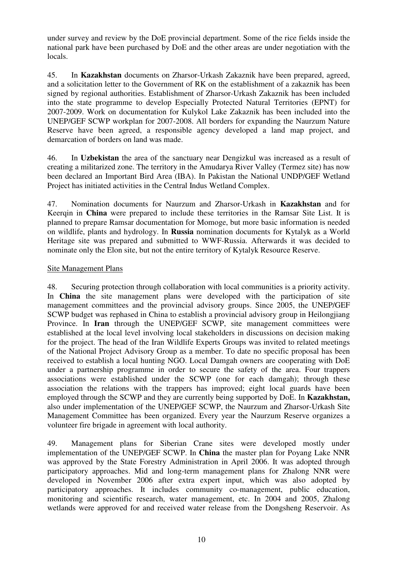under survey and review by the DoE provincial department. Some of the rice fields inside the national park have been purchased by DoE and the other areas are under negotiation with the locals.

45. In **Kazakhstan** documents on Zharsor-Urkash Zakaznik have been prepared, agreed, and a solicitation letter to the Government of RK on the establishment of a zakaznik has been signed by regional authorities. Establishment of Zharsor-Urkash Zakaznik has been included into the state programme to develop Especially Protected Natural Territories (EPNT) for 2007-2009. Work on documentation for Kulykol Lake Zakaznik has been included into the UNEP/GEF SCWP workplan for 2007-2008. All borders for expanding the Naurzum Nature Reserve have been agreed, a responsible agency developed a land map project, and demarcation of borders on land was made.

46. In **Uzbekistan** the area of the sanctuary near Dengizkul was increased as a result of creating a militarized zone. The territory in the Amudarya River Valley (Termez site) has now been declared an Important Bird Area (IBA). In Pakistan the National UNDP/GEF Wetland Project has initiated activities in the Central Indus Wetland Complex.

47. Nomination documents for Naurzum and Zharsor-Urkash in **Kazakhstan** and for Keerqin in **China** were prepared to include these territories in the Ramsar Site List. It is planned to prepare Ramsar documentation for Momoge, but more basic information is needed on wildlife, plants and hydrology. In **Russia** nomination documents for Kytalyk as a World Heritage site was prepared and submitted to WWF-Russia. Afterwards it was decided to nominate only the Elon site, but not the entire territory of Kytalyk Resource Reserve.

## Site Management Plans

48. Securing protection through collaboration with local communities is a priority activity. In **China** the site management plans were developed with the participation of site management committees and the provincial advisory groups. Since 2005, the UNEP/GEF SCWP budget was rephased in China to establish a provincial advisory group in Heilongjiang Province. In **Iran** through the UNEP/GEF SCWP, site management committees were established at the local level involving local stakeholders in discussions on decision making for the project. The head of the Iran Wildlife Experts Groups was invited to related meetings of the National Project Advisory Group as a member. To date no specific proposal has been received to establish a local hunting NGO. Local Damgah owners are cooperating with DoE under a partnership programme in order to secure the safety of the area. Four trappers associations were established under the SCWP (one for each damgah); through these association the relations with the trappers has improved; eight local guards have been employed through the SCWP and they are currently being supported by DoE. In **Kazakhstan,** also under implementation of the UNEP/GEF SCWP, the Naurzum and Zharsor-Urkash Site Management Committee has been organized. Every year the Naurzum Reserve organizes a volunteer fire brigade in agreement with local authority.

49. Management plans for Siberian Crane sites were developed mostly under implementation of the UNEP/GEF SCWP. In **China** the master plan for Poyang Lake NNR was approved by the State Forestry Administration in April 2006. It was adopted through participatory approaches. Mid and long-term management plans for Zhalong NNR were developed in November 2006 after extra expert input, which was also adopted by participatory approaches. It includes community co-management, public education, monitoring and scientific research, water management, etc. In 2004 and 2005, Zhalong wetlands were approved for and received water release from the Dongsheng Reservoir. As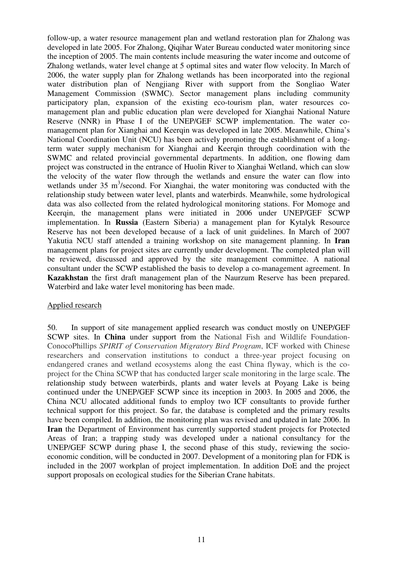follow-up, a water resource management plan and wetland restoration plan for Zhalong was developed in late 2005. For Zhalong, Qiqihar Water Bureau conducted water monitoring since the inception of 2005. The main contents include measuring the water income and outcome of Zhalong wetlands, water level change at 5 optimal sites and water flow velocity. In March of 2006, the water supply plan for Zhalong wetlands has been incorporated into the regional water distribution plan of Nengjiang River with support from the Songliao Water Management Commission (SWMC). Sector management plans including community participatory plan, expansion of the existing eco-tourism plan, water resources comanagement plan and public education plan were developed for Xianghai National Nature Reserve (NNR) in Phase I of the UNEP/GEF SCWP implementation. The water comanagement plan for Xianghai and Keerqin was developed in late 2005. Meanwhile, China's National Coordination Unit (NCU) has been actively promoting the establishment of a longterm water supply mechanism for Xianghai and Keerqin through coordination with the SWMC and related provincial governmental departments. In addition, one flowing dam project was constructed in the entrance of Huolin River to Xianghai Wetland, which can slow the velocity of the water flow through the wetlands and ensure the water can flow into wetlands under  $35 \text{ m}^3$ /second. For Xianghai, the water monitoring was conducted with the relationship study between water level, plants and waterbirds. Meanwhile, some hydrological data was also collected from the related hydrological monitoring stations. For Momoge and Keerqin, the management plans were initiated in 2006 under UNEP/GEF SCWP implementation. In **Russia** (Eastern Siberia) a management plan for Kytalyk Resource Reserve has not been developed because of a lack of unit guidelines. In March of 2007 Yakutia NCU staff attended a training workshop on site management planning. In **Iran** management plans for project sites are currently under development. The completed plan will be reviewed, discussed and approved by the site management committee. A national consultant under the SCWP established the basis to develop a co-management agreement. In **Kazakhstan** the first draft management plan of the Naurzum Reserve has been prepared. Waterbird and lake water level monitoring has been made.

#### Applied research

50. In support of site management applied research was conduct mostly on UNEP/GEF SCWP sites. In **China** under support from the National Fish and Wildlife Foundation-ConocoPhillips *SPIRIT of Conservation Migratory Bird Program*, ICF worked with Chinese researchers and conservation institutions to conduct a three-year project focusing on endangered cranes and wetland ecosystems along the east China flyway, which is the coproject for the China SCWP that has conducted larger scale monitoring in the large scale. The relationship study between waterbirds, plants and water levels at Poyang Lake is being continued under the UNEP/GEF SCWP since its inception in 2003. In 2005 and 2006, the China NCU allocated additional funds to employ two ICF consultants to provide further technical support for this project. So far, the database is completed and the primary results have been compiled. In addition, the monitoring plan was revised and updated in late 2006. In **Iran** the Department of Environment has currently supported student projects for Protected Areas of Iran; a trapping study was developed under a national consultancy for the UNEP/GEF SCWP during phase I, the second phase of this study, reviewing the socioeconomic condition, will be conducted in 2007. Development of a monitoring plan for FDK is included in the 2007 workplan of project implementation. In addition DoE and the project support proposals on ecological studies for the Siberian Crane habitats.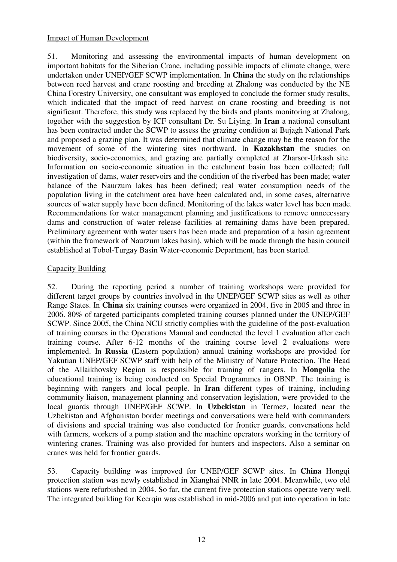#### Impact of Human Development

51. Monitoring and assessing the environmental impacts of human development on important habitats for the Siberian Crane, including possible impacts of climate change, were undertaken under UNEP/GEF SCWP implementation. In **China** the study on the relationships between reed harvest and crane roosting and breeding at Zhalong was conducted by the NE China Forestry University, one consultant was employed to conclude the former study results, which indicated that the impact of reed harvest on crane roosting and breeding is not significant. Therefore, this study was replaced by the birds and plants monitoring at Zhalong, together with the suggestion by ICF consultant Dr. Su Liying. In **Iran** a national consultant has been contracted under the SCWP to assess the grazing condition at Bujagh National Park and proposed a grazing plan. It was determined that climate change may be the reason for the movement of some of the wintering sites northward. In **Kazakhstan** the studies on biodiversity, socio-economics, and grazing are partially completed at Zharsor-Urkash site. Information on socio-economic situation in the catchment basin has been collected; full investigation of dams, water reservoirs and the condition of the riverbed has been made; water balance of the Naurzum lakes has been defined; real water consumption needs of the population living in the catchment area have been calculated and, in some cases, alternative sources of water supply have been defined. Monitoring of the lakes water level has been made. Recommendations for water management planning and justifications to remove unnecessary dams and construction of water release facilities at remaining dams have been prepared. Preliminary agreement with water users has been made and preparation of a basin agreement (within the framework of Naurzum lakes basin), which will be made through the basin council established at Tobol-Turgay Basin Water-economic Department, has been started.

## Capacity Building

52. During the reporting period a number of training workshops were provided for different target groups by countries involved in the UNEP/GEF SCWP sites as well as other Range States. In **China** six training courses were organized in 2004, five in 2005 and three in 2006. 80% of targeted participants completed training courses planned under the UNEP/GEF SCWP. Since 2005, the China NCU strictly complies with the guideline of the post-evaluation of training courses in the Operations Manual and conducted the level 1 evaluation after each training course. After 6-12 months of the training course level 2 evaluations were implemented. In **Russia** (Eastern population) annual training workshops are provided for Yakutian UNEP/GEF SCWP staff with help of the Ministry of Nature Protection. The Head of the Allaikhovsky Region is responsible for training of rangers. In **Mongolia** the educational training is being conducted on Special Programmes in OBNP. The training is beginning with rangers and local people. In **Iran** different types of training, including community liaison, management planning and conservation legislation, were provided to the local guards through UNEP/GEF SCWP. In **Uzbekistan** in Termez, located near the Uzbekistan and Afghanistan border meetings and conversations were held with commanders of divisions and special training was also conducted for frontier guards, conversations held with farmers, workers of a pump station and the machine operators working in the territory of wintering cranes. Training was also provided for hunters and inspectors. Also a seminar on cranes was held for frontier guards.

53. Capacity building was improved for UNEP/GEF SCWP sites. In **China** Hongqi protection station was newly established in Xianghai NNR in late 2004. Meanwhile, two old stations were refurbished in 2004. So far, the current five protection stations operate very well. The integrated building for Keerqin was established in mid-2006 and put into operation in late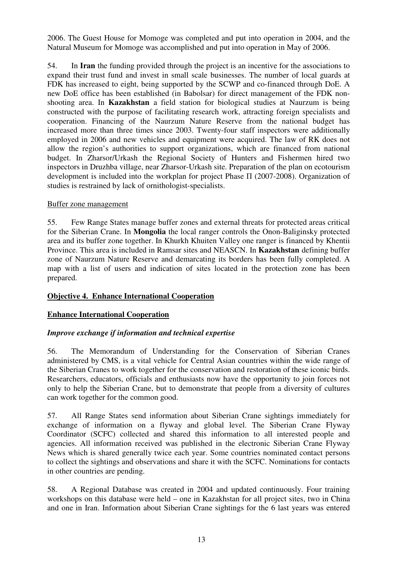2006. The Guest House for Momoge was completed and put into operation in 2004, and the Natural Museum for Momoge was accomplished and put into operation in May of 2006.

54. In **Iran** the funding provided through the project is an incentive for the associations to expand their trust fund and invest in small scale businesses. The number of local guards at FDK has increased to eight, being supported by the SCWP and co-financed through DoE. A new DoE office has been established (in Babolsar) for direct management of the FDK nonshooting area. In **Kazakhstan** a field station for biological studies at Naurzum is being constructed with the purpose of facilitating research work, attracting foreign specialists and cooperation. Financing of the Naurzum Nature Reserve from the national budget has increased more than three times since 2003. Twenty-four staff inspectors were additionally employed in 2006 and new vehicles and equipment were acquired. The law of RK does not allow the region's authorities to support organizations, which are financed from national budget. In Zharsor/Urkash the Regional Society of Hunters and Fishermen hired two inspectors in Druzhba village, near Zharsor-Urkash site. Preparation of the plan on ecotourism development is included into the workplan for project Phase П (2007-2008). Organization of studies is restrained by lack of ornithologist-specialists.

#### Buffer zone management

55. Few Range States manage buffer zones and external threats for protected areas critical for the Siberian Crane. In **Mongolia** the local ranger controls the Onon-Baliginsky protected area and its buffer zone together. In Khurkh Khuiten Valley one ranger is financed by Khentii Province. This area is included in Ramsar sites and NEASCN. In **Kazakhstan** defining buffer zone of Naurzum Nature Reserve and demarcating its borders has been fully completed. A map with a list of users and indication of sites located in the protection zone has been prepared.

## **Objective 4. Enhance International Cooperation**

## **Enhance International Cooperation**

## *Improve exchange if information and technical expertise*

56. The Memorandum of Understanding for the Conservation of Siberian Cranes administered by CMS, is a vital vehicle for Central Asian countries within the wide range of the Siberian Cranes to work together for the conservation and restoration of these iconic birds. Researchers, educators, officials and enthusiasts now have the opportunity to join forces not only to help the Siberian Crane, but to demonstrate that people from a diversity of cultures can work together for the common good.

57. All Range States send information about Siberian Crane sightings immediately for exchange of information on a flyway and global level. The Siberian Crane Flyway Coordinator (SCFC) collected and shared this information to all interested people and agencies. All information received was published in the electronic Siberian Crane Flyway News which is shared generally twice each year. Some countries nominated contact persons to collect the sightings and observations and share it with the SCFC. Nominations for contacts in other countries are pending.

58. A Regional Database was created in 2004 and updated continuously. Four training workshops on this database were held – one in Kazakhstan for all project sites, two in China and one in Iran. Information about Siberian Crane sightings for the 6 last years was entered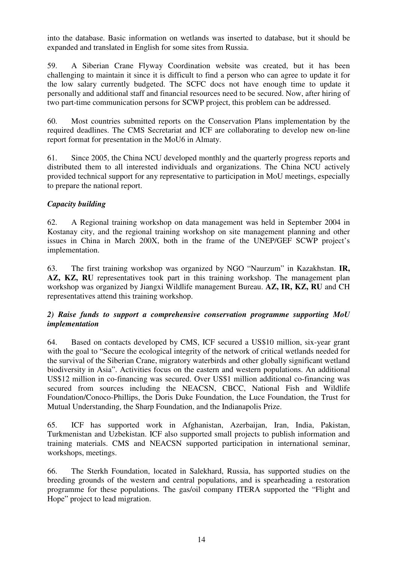into the database. Basic information on wetlands was inserted to database, but it should be expanded and translated in English for some sites from Russia.

59. A Siberian Crane Flyway Coordination website was created, but it has been challenging to maintain it since it is difficult to find a person who can agree to update it for the low salary currently budgeted. The SCFC docs not have enough time to update it personally and additional staff and financial resources need to be secured. Now, after hiring of two part-time communication persons for SCWP project, this problem can be addressed.

60. Most countries submitted reports on the Conservation Plans implementation by the required deadlines. The CMS Secretariat and ICF are collaborating to develop new on-line report format for presentation in the MoU6 in Almaty.

61. Since 2005, the China NCU developed monthly and the quarterly progress reports and distributed them to all interested individuals and organizations. The China NCU actively provided technical support for any representative to participation in MoU meetings, especially to prepare the national report.

# *Capacity building*

62. A Regional training workshop on data management was held in September 2004 in Kostanay city, and the regional training workshop on site management planning and other issues in China in March 200X, both in the frame of the UNEP/GEF SCWP project's implementation.

63. The first training workshop was organized by NGO "Naurzum" in Kazakhstan. **IR, AZ, KZ, RU** representatives took part in this training workshop. The management plan workshop was organized by Jiangxi Wildlife management Bureau. **AZ, IR, KZ, RU** and CH representatives attend this training workshop.

## *2) Raise funds to support a comprehensive conservation programme supporting MoU implementation*

64. Based on contacts developed by CMS, ICF secured a US\$10 million, six-year grant with the goal to "Secure the ecological integrity of the network of critical wetlands needed for the survival of the Siberian Crane, migratory waterbirds and other globally significant wetland biodiversity in Asia". Activities focus on the eastern and western populations. An additional US\$12 million in co-financing was secured. Over US\$1 million additional co-financing was secured from sources including the NEACSN, CBCC, National Fish and Wildlife Foundation/Conoco-Phillips, the Doris Duke Foundation, the Luce Foundation, the Trust for Mutual Understanding, the Sharp Foundation, and the Indianapolis Prize.

65. ICF has supported work in Afghanistan, Azerbaijan, Iran, India, Pakistan, Turkmenistan and Uzbekistan. ICF also supported small projects to publish information and training materials. CMS and NEACSN supported participation in international seminar, workshops, meetings.

66. The Sterkh Foundation, located in Salekhard, Russia, has supported studies on the breeding grounds of the western and central populations, and is spearheading a restoration programme for these populations. The gas/oil company ITERA supported the "Flight and Hope" project to lead migration.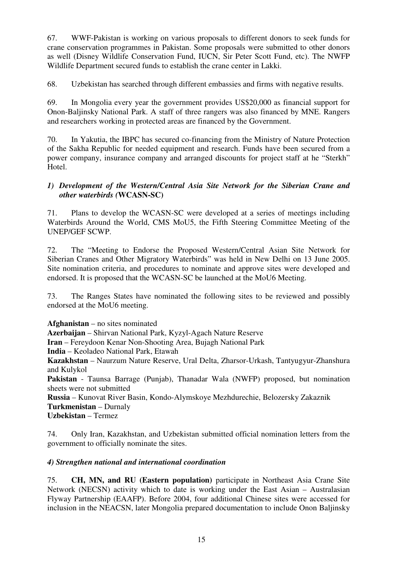67. WWF-Pakistan is working on various proposals to different donors to seek funds for crane conservation programmes in Pakistan. Some proposals were submitted to other donors as well (Disney Wildlife Conservation Fund, IUCN, Sir Peter Scott Fund, etc). The NWFP Wildlife Department secured funds to establish the crane center in Lakki.

68. Uzbekistan has searched through different embassies and firms with negative results.

69. In Mongolia every year the government provides US\$20,000 as financial support for Onon-Baljinsky National Park. A staff of three rangers was also financed by MNE. Rangers and researchers working in protected areas are financed by the Government.

70. In Yakutia, the IBPC has secured co-financing from the Ministry of Nature Protection of the Sakha Republic for needed equipment and research. Funds have been secured from a power company, insurance company and arranged discounts for project staff at he "Sterkh" Hotel.

## *1) Development of the Western/Central Asia Site Network for the Siberian Crane and other waterbirds (***WCASN-SC)**

71. Plans to develop the WCASN-SC were developed at a series of meetings including Waterbirds Around the World, CMS MoU5, the Fifth Steering Committee Meeting of the UNEP/GEF SCWP.

72. The "Meeting to Endorse the Proposed Western/Central Asian Site Network for Siberian Cranes and Other Migratory Waterbirds" was held in New Delhi on 13 June 2005. Site nomination criteria, and procedures to nominate and approve sites were developed and endorsed. It is proposed that the WCASN-SC be launched at the MoU6 Meeting.

73. The Ranges States have nominated the following sites to be reviewed and possibly endorsed at the MoU6 meeting.

**Afghanistan** – no sites nominated **Azerbaijan** – Shirvan National Park, Kyzyl-Agach Nature Reserve

**Iran** – Fereydoon Kenar Non-Shooting Area, Bujagh National Park

**India** – Keoladeo National Park, Etawah

**Kazakhstan** – Naurzum Nature Reserve, Ural Delta, Zharsor-Urkash, Tantyugyur-Zhanshura and Kulykol

**Pakistan** - Taunsa Barrage (Punjab), Thanadar Wala (NWFP) proposed, but nomination sheets were not submitted

**Russia** – Kunovat River Basin, Kondo-Alymskoye Mezhdurechie, Belozersky Zakaznik **Turkmenistan** – Durnaly **Uzbekistan** – Termez

74. Only Iran, Kazakhstan, and Uzbekistan submitted official nomination letters from the government to officially nominate the sites.

# *4) Strengthen national and international coordination*

75. **CH, MN, and RU (Eastern population)** participate in Northeast Asia Crane Site Network (NECSN) activity which to date is working under the East Asian – Australasian Flyway Partnership (EAAFP). Before 2004, four additional Chinese sites were accessed for inclusion in the NEACSN, later Mongolia prepared documentation to include Onon Baljinsky